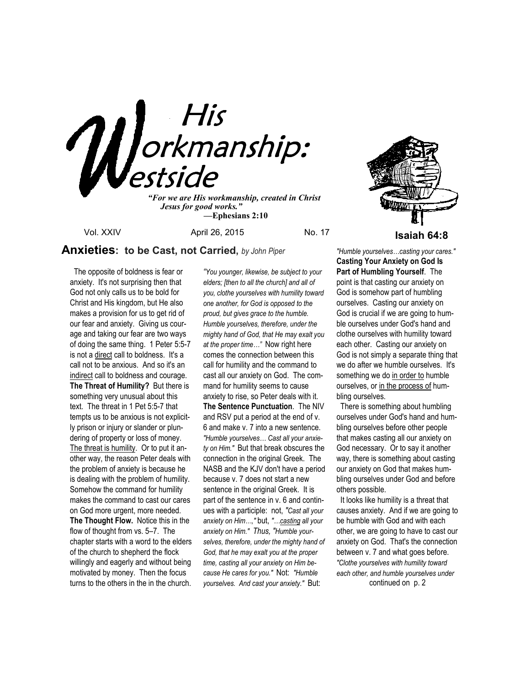

 *Jesus for good works." —***Ephesians 2:10**

# **Anxieties: to be Cast, not Carried,** *by John Piper*

 The opposite of boldness is fear or anxiety. It's not surprising then that God not only calls us to be bold for Christ and His kingdom, but He also makes a provision for us to get rid of our fear and anxiety. Giving us courage and taking our fear are two ways of doing the same thing. 1 Peter 5:5-7 is not a direct call to boldness. It's a call not to be anxious. And so it's an indirect call to boldness and courage. **The Threat of Humility?** But there is something very unusual about this text. The threat in 1 Pet 5:5-7 that tempts us to be anxious is not explicitly prison or injury or slander or plundering of property or loss of money. The threat is humility. Or to put it another way, the reason Peter deals with the problem of anxiety is because he is dealing with the problem of humility. Somehow the command for humility makes the command to cast our cares on God more urgent, more needed. **The Thought Flow.** Notice this in the flow of thought from vs. 5–7. The chapter starts with a word to the elders of the church to shepherd the flock willingly and eagerly and without being motivated by money. Then the focus turns to the others in the in the church. *"You younger, likewise, be subject to your elders; [then to all the church] and all of you, clothe yourselves with humility toward one another, for God is opposed to the proud, but gives grace to the humble. Humble yourselves, therefore, under the mighty hand of God, that He may exalt you at the proper time…"* Now right here comes the connection between this call for humility and the command to cast all our anxiety on God. The command for humility seems to cause anxiety to rise, so Peter deals with it. **The Sentence Punctuation**. The NIV and RSV put a period at the end of v. 6 and make v. 7 into a new sentence. *"Humble yourselves… Cast all your anxiety on Him."* But that break obscures the connection in the original Greek. The NASB and the KJV don't have a period because v. 7 does not start a new sentence in the original Greek. It is part of the sentence in v. 6 and continues with a participle: not, *"Cast all your anxiety on Him…,"* but, *"…casting all your anxiety on Him." Thus, "Humble yourselves, therefore, under the mighty hand of God, that he may exalt you at the proper time, casting all your anxiety on Him because He cares for you."* Not: *"Humble yourselves. And cast your anxiety."* But:



*"Humble yourselves…casting your cares."*  **Casting Your Anxiety on God Is Part of Humbling Yourself**. The point is that casting our anxiety on God is somehow part of humbling ourselves. Casting our anxiety on God is crucial if we are going to humble ourselves under God's hand and clothe ourselves with humility toward each other. Casting our anxiety on God is not simply a separate thing that we do after we humble ourselves. It's something we do in order to humble ourselves, or in the process of humbling ourselves.

 There is something about humbling ourselves under God's hand and humbling ourselves before other people that makes casting all our anxiety on God necessary. Or to say it another way, there is something about casting our anxiety on God that makes humbling ourselves under God and before others possible.

 It looks like humility is a threat that causes anxiety. And if we are going to be humble with God and with each other, we are going to have to cast our anxiety on God. That's the connection between v. 7 and what goes before. *"Clothe yourselves with humility toward each other, and humble yourselves under*  continued on p. 2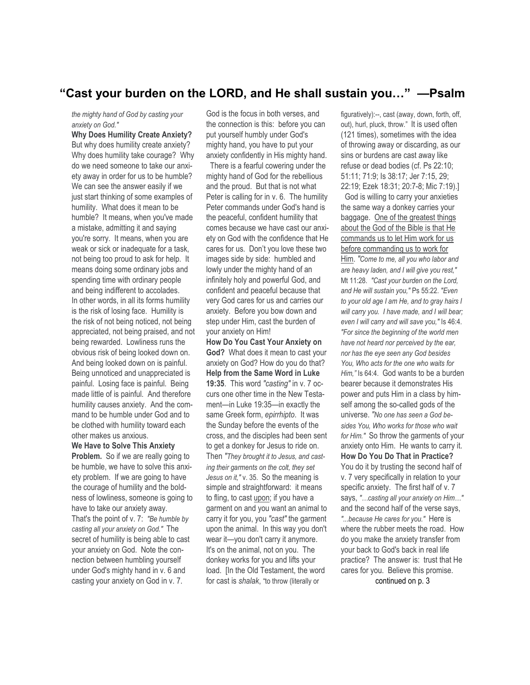# **"Cast your burden on the LORD, and He shall sustain you…" —Psalm**

*the mighty hand of God by casting your anxiety on God."* 

**Why Does Humility Create Anxiety?**  But why does humility create anxiety? Why does humility take courage? Why do we need someone to take our anxiety away in order for us to be humble? We can see the answer easily if we just start thinking of some examples of humility. What does it mean to be humble? It means, when you've made a mistake, admitting it and saying you're sorry. It means, when you are weak or sick or inadequate for a task, not being too proud to ask for help. It means doing some ordinary jobs and spending time with ordinary people and being indifferent to accolades. In other words, in all its forms humility is the risk of losing face. Humility is the risk of not being noticed, not being appreciated, not being praised, and not being rewarded. Lowliness runs the obvious risk of being looked down on. And being looked down on is painful. Being unnoticed and unappreciated is painful. Losing face is painful. Being made little of is painful. And therefore humility causes anxiety. And the command to be humble under God and to be clothed with humility toward each other makes us anxious.

**We Have to Solve This Anxiety** 

**Problem.** So if we are really going to be humble, we have to solve this anxiety problem. If we are going to have the courage of humility and the boldness of lowliness, someone is going to have to take our anxiety away. That's the point of v. 7: *"Be humble by casting all your anxiety on God."* The secret of humility is being able to cast your anxiety on God. Note the connection between humbling yourself under God's mighty hand in v. 6 and casting your anxiety on God in v. 7.

God is the focus in both verses, and the connection is this: before you can put yourself humbly under God's mighty hand, you have to put your anxiety confidently in His mighty hand.

 There is a fearful cowering under the mighty hand of God for the rebellious and the proud. But that is not what Peter is calling for in v. 6. The humility Peter commands under God's hand is the peaceful, confident humility that comes because we have cast our anxiety on God with the confidence that He cares for us. Don't you love these two images side by side: humbled and lowly under the mighty hand of an infinitely holy and powerful God, and confident and peaceful because that very God cares for us and carries our anxiety. Before you bow down and step under Him, cast the burden of your anxiety on Him!

**How Do You Cast Your Anxiety on God?** What does it mean to cast your anxiety on God? How do you do that? **Help from the Same Word in Luke 19:35**. This word *"casting"* in v. 7 occurs one other time in the New Testament—in Luke 19:35—in exactly the same Greek form, *epirrhipto*. It was the Sunday before the events of the cross, and the disciples had been sent to get a donkey for Jesus to ride on. Then *"They brought it to Jesus, and casting their garments on the colt, they set Jesus on it,"* v. 35. So the meaning is simple and straightforward: it means to fling, to cast upon; if you have a garment on and you want an animal to carry it for you, you *"cast"* the garment upon the animal. In this way you don't wear it—you don't carry it anymore. It's on the animal, not on you. The donkey works for you and lifts your load. [In the Old Testament, the word for cast is *shalak*, "to throw (literally or

figuratively):--, cast (away, down, forth, off, out), hurl, pluck, throw." It is used often (121 times), sometimes with the idea of throwing away or discarding, as our sins or burdens are cast away like refuse or dead bodies (cf. Ps 22:10; 51:11; 71:9; Is 38:17; Jer 7:15, 29; 22:19; Ezek 18:31; 20:7-8; Mic 7:19).] God is willing to carry your anxieties the same way a donkey carries your baggage. One of the greatest things about the God of the Bible is that He commands us to let Him work for us before commanding us to work for Him. *"Come to me, all you who labor and are heavy laden, and I will give you rest,"* Mt 11:28. *"Cast your burden on the Lord, and He will sustain you,"* Ps 55:22. *"Even to your old age I am He, and to gray hairs I will carry you. I have made, and I will bear; even I will carry and will save you,"* Is 46:4. *"For since the beginning of the world men have not heard nor perceived by the ear, nor has the eye seen any God besides You, Who acts for the one who waits for Him,"* Is 64:4. God wants to be a burden bearer because it demonstrates His power and puts Him in a class by himself among the so-called gods of the universe. *"No one has seen a God besides You, Who works for those who wait for Him."* So throw the garments of your anxiety onto Him. He wants to carry it. **How Do You Do That in Practice?** You do it by trusting the second half of v. 7 very specifically in relation to your specific anxiety. The first half of v. 7 says, *"…casting all your anxiety on Him…"* and the second half of the verse says, *"...because He cares for you."* Here is where the rubber meets the road. How do you make the anxiety transfer from your back to God's back in real life practice? The answer is: trust that He cares for you. Believe this promise.

continued on p. 3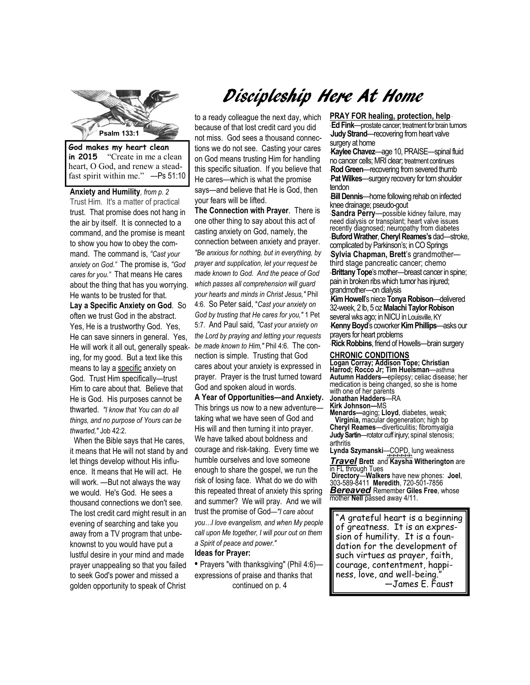

**in 2015** "Create in me a clean heart, O God, and renew a steadfast spirit within me." —Ps 51:10

**Anxiety and Humility***, from p. 2*  Trust Him. It's a matter of practical trust. That promise does not hang in the air by itself. It is connected to a command, and the promise is meant to show you how to obey the command. The command is, *"Cast your anxiety on God."* The promise is, *"God cares for you."* That means He cares about the thing that has you worrying. He wants to be trusted for that. **Lay a Specific Anxiety on God**. So often we trust God in the abstract. Yes, He is a trustworthy God. Yes, He can save sinners in general. Yes, He will work it all out, generally speaking, for my good. But a text like this means to lay a specific anxiety on God. Trust Him specifically—trust Him to care about that. Believe that He is God. His purposes cannot be thwarted. *"I know that You can do all things, and no purpose of Yours can be* 

 When the Bible says that He cares, it means that He will not stand by and let things develop without His influence. It means that He will act. He will work. —But not always the way we would. He's God. He sees a thousand connections we don't see. The lost credit card might result in an evening of searching and take you away from a TV program that unbeknownst to you would have put a lustful desire in your mind and made prayer unappealing so that you failed to seek God's power and missed a golden opportunity to speak of Christ

*thwarted,"* Job 42:2.

# Discipleship Here At Home

to a ready colleague the next day, which because of that lost credit card you did not miss. God sees a thousand connections we do not see. Casting your cares on God means trusting Him for handling this specific situation. If you believe that He cares—which is what the promise says—and believe that He is God, then your fears will be lifted.

**The Connection with Prayer**. There is one other thing to say about this act of casting anxiety on God, namely, the connection between anxiety and prayer. *"Be anxious for nothing, but in everything, by prayer and supplication, let your request be made known to God. And the peace of God which passes all comprehension will guard your hearts and minds in Christ Jesus,"* Phil 4:6. So Peter said, "*Cast your anxiety on God by trusting that He cares for you,"* 1 Pet 5:7. And Paul said, *"Cast your anxiety on the Lord by praying and letting your requests be made known to Him,"* Phil 4:6. The connection is simple. Trusting that God cares about your anxiety is expressed in prayer. Prayer is the trust turned toward God and spoken aloud in words.

**A Year of Opportunities—and Anxiety.**  This brings us now to a new adventure taking what we have seen of God and His will and then turning it into prayer. We have talked about boldness and courage and risk-taking. Every time we humble ourselves and love someone enough to share the gospel, we run the risk of losing face. What do we do with this repeated threat of anxiety this spring and summer? We will pray. And we will trust the promise of God*—"I care about you…I love evangelism, and when My people call upon Me together, I will pour out on them a Spirit of peace and power."* **Ideas for Prayer:** 

**•** Prayers "with thanksgiving" (Phil 4:6) expressions of praise and thanks that continued on p. 4

#### **PRAY FOR healing, protection, help** \* \* **Ed Fink**—prostate cancer; treatment for brain tumors **Judy Strand—recovering from heart valve**

surgery at home \***Kaylee Chavez**—age 10, PRAISE—spinal fluid no cancer cells; MRI clear; treatment continues **Rod Green**—recovering from severed thumb

**Pat Wilkes**—surgery recovery for torn shoulder tendon

tenaon<br>·**Bill Dennis**—home following rehab on infected knee drainage; pseudo-gout

\* **Sandra Perry**—possible kidney failure, may need dialysis or transplant; heart valve issues recently diagnosed; neuropathy from diabetes \* **Buford Wrather**, **Cheryl Reames's** dad—stroke, complicated by Parkinson's; in CO Springs \***Sylvia Chapman, Brett**'s grandmother third stage pancreatic cancer; chemo \*\***Brittany Tope**'s mother—breast cancer in spine; pain in broken ribs which tumor has injured; grandmother—on dialysis

\***Kim Howell**'s niece **Tonya Robison**—delivered 32-week, 2 lb, 5 oz **Malachi Taylor Robison**  several wks ago; in NICU in Louisville, KY \***Kenny Boyd**'s coworker **Kim Phillips**—asks our prayers for heart problems

**Rick Robbins**, friend of Howells—brain surgery

## **CHRONIC CONDITIONS**

**Logan Corray; Addison Tope; Christian Harrod; Rocco Jr; Tim Huelsman**—asthma **Autumn Hadders—**epilepsy; celiac disease; her medication is being changed, so she is home with one of her parents

**Jonathan Hadders**—RA

**Kirk Johnson—**MS **Menards—**aging; **Lloyd**, diabetes, weak; **Virginia,** macular degeneration; high bp **Cheryl Reames**—diverticulitis; fibromyalgia **Judy Sartin**—rotator cuff injury; spinal stenosis; arthritis

**Lynda Szymanski**—COPD, lung weakness

*+#+#+#+#+#+#+ Travel* **Brett** and **Kaysha Witherington** are in FL through Tues **Directory**—**Walkers** have new phones: **Joel**, 303-589-8411 **Meredith**, 720-501-7856 *Bereaved* Remember **Giles Free**, whose mother **Nell** passed away 4/11.

"A grateful heart is a beginning of greatness. It is an expression of humility. It is a foundation for the development of such virtues as prayer, faith, courage, contentment, happiness, love, and well-being." —James E. Faust